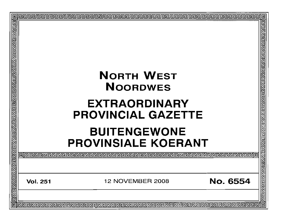|                   |                 | <b>NORTH WEST</b><br><b>NOORDWES</b><br><b>EXTRAORDINARY</b><br><b>PROVINCIAL GAZETTE</b><br><b>BUITENGEWONE</b><br><b>PROVINSIALE KOERANT</b> | खे बाह्य बाह्य बाह्य बाह्य बाह्य बाह्य बाह्य बाह्य बाह्य बाह्य बाह्य बाह्य बाह्य बाह्य बाह्य बाह्य बाह्य बाह्य |
|-------------------|-----------------|------------------------------------------------------------------------------------------------------------------------------------------------|----------------------------------------------------------------------------------------------------------------|
| 22222222222322222 | Inne            | 00  00  00  00  00  00  00  00  00  00  00  00  00  00  00  00  00  00  0                                                                      |                                                                                                                |
|                   | <b>Vol. 251</b> | No. 6554<br>12 NOVEMBER 2008                                                                                                                   |                                                                                                                |
|                   |                 |                                                                                                                                                | 回                                                                                                              |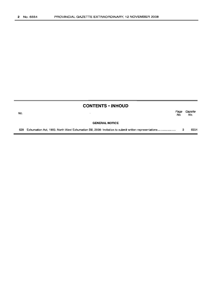|     | <b>CONTENTS • INHOUD</b> |             |                |
|-----|--------------------------|-------------|----------------|
| No. |                          | Page<br>No. | Gazette<br>No. |
|     | <b>GENERAL NOTICE</b>    |             |                |
|     |                          |             | 6554           |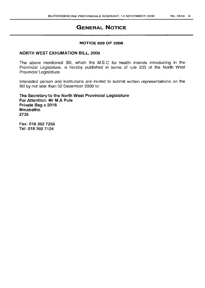# **GENERAL NOTICE**

#### NOTICE 629 OF 2008

#### NORTH WEST EXHUMATION BILL, 2008

The above mentioned Bill, which the M.E.C for health intends introducing in the Provincial Legislature, is hereby published in terms of rule 203 of the North West Provincial Legislature.

Interested person and institutions are invited to submit written representations on the Bill by not later than 02 December 2008 to:

The Secretary to the North West Provincial Legislature For Attention: Mr M.A Pule Private Bag x 2018 Mmabatho 2735

Fax: 0183927256 Tel: 0183927124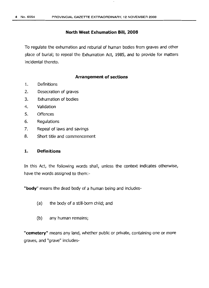#### **North West Exhumation Bill, 2008**

To regulate the exhumation and reburial of human bodies from graves and other place of burial; to repeal the Exhumation Act, 1985, and to provide for matters incidental thereto.

#### **Arrangement of sections**

- 1. Definitions
- 2. Desecration of graves
- 3. Exhumation of bodies
- 4. Validation
- 5. Offences
- 6. Regulations
- 7. Repeal of laws and savings
- 8. Short title and commencement

#### **1. Definitions**

In this Act, the following words shall, unless the context indicates otherwise, have the words assigned to them:-

"body" means the dead body of a human being and includes-

- (a) the body of a still-born child; and
- (b) any human remains;

"cemetery" means any land, whether public or private, containing one or more graves, and "grave" includes-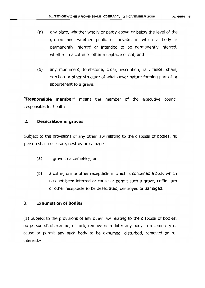- (a) any place, whether wholly or partly above or below the level of the ground and whether public or private, in which a body is permanently interred or intended to be permanently interred, whether in a coffin or other receptacle or not, and
- (b) any monument, tombstone, cross, inscription, rail, fence, chain, erection or other structure of whatsoever nature forming part of or appurtenant to a grave.

"Responsible member" means the member of the executive council responsible for health

# 2. Desecration of graves

Subject to the provisions of any other law relating to the disposal of bodies, no person shall desecrate, destroy or damage-

- (a) a grave in a cemetery, or
- (b) a coffin, urn or other receptacle in which is contained a body which has not been interred or cause or permit such a grave, coffin, urn or other receptacle to be desecrated, destroyed or damaged.

# 3. Exhumation of bodies

(1) Subject to the provisions of any other law relating to the disposal of bodies, no person shall exhume, disturb, remove or re-inter any body in a cemetery or cause or permit any such body to be exhumed, disturbed, removed or reinterred:-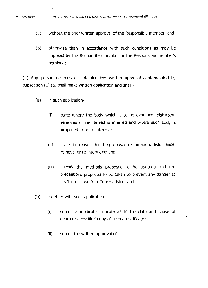- (a) without the prior written approval of the Responsible member; and
- (b) otherwise than in accordance with such conditions as may be imposed by the Responsible member or the Responsible member's nominee;

(2) Any person desirous of obtaining the written approval contemplated by subsection (1) (a) shall make written application and shall -

- (a) in such application-
	- (i) state where the body which is to be exhumed, disturbed, removed or re-interred is interred and where such body is proposed to be re-interred;
	- (ii) state the reasons for the proposed exhumation, disturbance, removal or re-interment; and
	- (iii) specify the methods proposed to be adopted and the precautions proposed to be taken to prevent any danger to health or cause for offence arising, and
- (b) together with such application-
	- (i) submit a medical certificate as to the date and cause of death or a certified copy of such a certificate;
	- $(ii)$  submit the written approval of-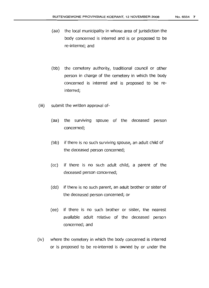- (aa) the local municipality in whose area of jurisdiction the body concerned is interred and is or proposed to be re-interred; and
- (bb) the cemetery authority, traditional council or other person in charge of the cemetery in which the body concerned is interred and is proposed to be reinterred;
- (iii) submit the written approval of-
	- (aa) the surviving spouse of the deceased person concerned;
	- (bb) if there is no such surviving spouse, an adult child of the deceased person concerned;
	- (cc) if there is no such adult child, a parent of the deceased person concerned;
	- (dd) if there is no such parent, an adult brother or sister of the deceased person concerned; or
	- (ee) if there is no such brother or sister, the nearest available adult relative of the deceased person concerned; and
- (iv) where the cemetery in which the body concerned is interred or is proposed to be re-interred is owned by or under the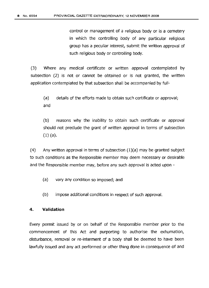control or management of a religious body or is a cemetery in which the controlling body of any particular religious group has a peculiar interest, submit the written approval of such religious body or controlling body.

(3) Where any medical certificate or written approval contemplated by subsection (2) is not or cannot be obtained or is not granted, the written application contemplated by that subsection shall be accompanied by full-

(a) details of the efforts made to obtain such certificate or approval; and

(b) reasons why the inability to obtain such certificate or approval should not preclude the grant of written approval in terms of subsection (1) (a).

 $(4)$  Any written approval in terms of subsection  $(1)(a)$  may be granted subject to such conditions as the Responsible member may deem necessary or desirable and the Responsible member may, before any such approval is acted upon -

(a) vary any condition so imposed; and

(b) impose additional conditions in respect of such approval.

#### 4. Validation

Every permit issued by or on behalf of the Responsible member prior to the commencement of this Act and purporting to authorise the exhumation, disturbance, removal or re-interment of a body shall be deemed to have been lawfully issued and any act performed or other thing done in consequence of and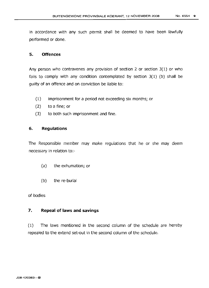in accordance with any such permit shall be deemed to have been lawfully performed or done.

### **S. Offences**

Any person who contravenes any provision of section 2 or section 3(1) or who fails to comply with any condition contemplated by section  $3(1)$  (b) shall be quiltv of an offence and on conviction be liable to:

- (1) imprisonment for a period not exceeding six months; or
- (2) to a fine; or
- (3) to both such imprisonment and fine.

# **6. Regulations**

The Responsible member may make regulations that he or she may deem necessary in relation to:-

- (a) the exhumation; or
- (b) the re-burial

of bodies

# **7. Repeal of laws and savings**

(1) The laws mentioned in the second column of the schedule are hereby repealed to the extend set-out in the second column of the schedule.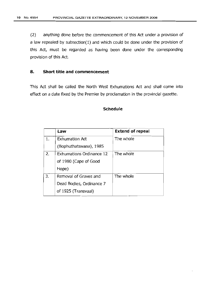(2) anything done before the commencement of this Act under a provision of a law repealed by subsection(1) and which could be done under the provision of this Act, must be regarded as having been done under the corresponding provision of this Act.

### **8. Short title and commencement**

This Act shall be called the North West Exhumations Act and shall come into effect on a date fixed by the Premier by proclamation in the provincial gazette.

#### **Schedule**

|    | Law                             | <b>Extend of repeal</b> |
|----|---------------------------------|-------------------------|
| 1. | <b>Exhumation Act</b>           | The whole               |
|    | (Bophuthatswana), 1985          |                         |
| 2. | <b>Exhumations Ordinance 12</b> | The whole               |
|    | of 1980 (Cape of Good           |                         |
|    | Hope)                           |                         |
| 3. | Removal of Graves and           | The whole               |
|    | Dead Bodies, Ordinance 7        |                         |
|    | of 1925 (Transvaal)             |                         |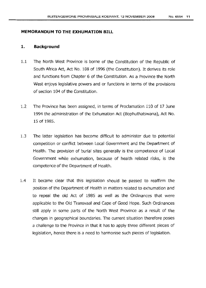### **MEMORANDUM TO THE EXHUMATION BIll**

#### 1. **Background**

- 1.1 The North West Province is borne of the Constitution of the Republic of South Africa Act, Act No. 108 of 1996 (the Constitution). It derives its role and functions from Chapter 6 of the Constitution. As a Province the North West enjoys legislative powers and or functions in terms of the provisions of section 104 of the Constitution.
- 1.2 The Province has been assigned, in terms of Proclamation 110 of 17 June 1994 the administration of the Exhumation Act (Bophuthatswana), Act No. 15 of 1985.
- 1.3 The latter legislation has become difficult to administer due to potential competition or conflict between Local Government and the Department of Health. The provision of burial sites generally is the competence of Local Government while exhumation, because of health related risks, is the competence of the Department of Health.
- 1.4 It became clear that this legislation should be passed to reaffirm the position of the Department of Health in matters related to exhumation and to repeal the old Act of 1985 as well as the Ordinances that were applicable to the Old Transvaal and Cape of Good Hope. Such Ordinances still apply in some parts of the North West Province as a result of the changes in geographical boundaries. The current situation therefore poses a challenge to the Province in that it has to apply three different pieces of legislation, hence there is a need to harmonise such pieces of legislation.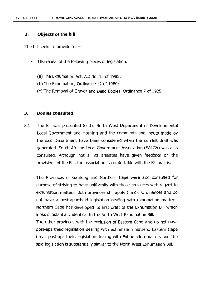#### 2. **Objects of the bill**

The bill seeks to provide for  $-$ 

- The repeal of the following pieces of legislation:
	- (a) The Exhumation Act, Act No. 15 of 1985;
	- (b) The Exhumation, Ordinance 12 of 1980;
	- (c) The Removal of Graves and Dead Bodies, Ordinance 7 of 1925.

#### 3. **Bodies consulted**

3.1 The Bill was presented to the North West Department of Developmental Local Government and Housing and the comments and inputs made by the said Department have been considered when the current draft was generated. South African Local Government Association (SALGA) was also consulted. Although not all its affiliates have given feedback on the provisions of the Bill, the association is comfortable with the Bill as it is.

The Provinces of Gauteng and Northern Cape were also consulted for purpose of striving to have uniformity with those provinces with regard to exhumation matters. Both provinces still apply the old Ordinances and do not have a post-apartheid legislation dealing with exhumation matters. Northern Cape has developed its first draft of the Exhumation Bill which looks substantially identical to the North West Exhumation Bill.

The other provinces with the exclusion of Eastern Cape also do not have post-apartheid legislation dealing with exhumation matters. Eastern Cape has a post-apartheid legislation dealing with Exhumation matters and the said legislation is substantially similar to the North West Exhumation Bill.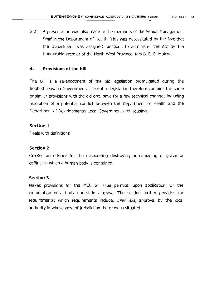3,2 A presentation was also made to the members of the Senior Management Staff in the Department of Health. This was necessitated by the fact that the Department was assigned functions to administer the Act by the Honourable Premier of the North West Province, Mrs B. E. E. Molewa.

# 4. **Provisions of the bill**

The Bill is a re-enactment of the old legislation promulgated during the Bophuthatswana Government. The entire legislation therefore contains the same or similar provisions with the old one, save for a few technical changes including resolution of a potential conflict between the Department of Health and the Department of Developmental Local Government and Housing.

# **Section** 1

Deals with definitions

# **Section** 2

Creates an offence for the desecrating destroying or damaging of grave or coffins; in which a human body is contained.

# **Section** 3

Makes provisions for the MEC to issue permits; upon application for the exhumation of a body buried in a grave. The section further provides for requirements; which requirements include, *inter alia,* approval by the local authority in whose area of jurisdiction the grave is situated.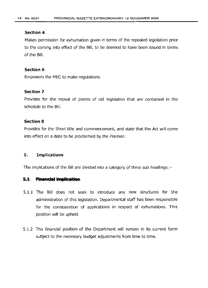### **Section 4**

Makes permission for exhumation given in terms of the repealed legislation prior to the coming into effect of the Bill, to be deemed to have been issued in terms of the Bill.

#### **Section 6**

Empowers the MEC to make regulations.

# **Section 7**

Provides for the repeal of pieces of old legislation that are contained in the schedule to the Bill.

#### **Section** 8

Provides for the Short title and commencement, and state that the Act will come into effect on a date to be proclaimed by the Premier.

#### 5. Implications

The implications of the Bill are divided into a category of three sub headings: -

#### 5.1 **Financial implication**

- 5.1.1 The Bill does not seek to introduce any new structures for the administration of this legislation. Departmental staff has been responsible for the consideration of applications in respect of exhumations. This position will be upheld.
- 5.1.2 The financial position of the Department will remain in its current form subject to the necessary budget adjustments from time to time.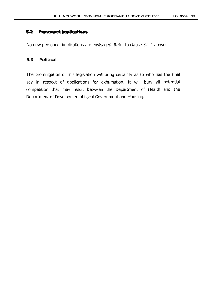#### $5.2$ **Personnel implications**

No new personnel implications are envisaged. Refer to clause 5.1.1 above.

# **5.3 Political**

The promulgation of this legislation will bring certainty as to who has the final say in respect of applications for exhumation. It will bury all potential competition that may result between the Department of Health and the Department of Developmental Local Government and Housing.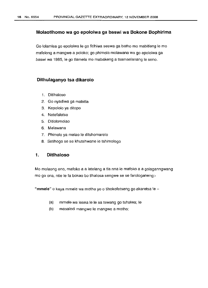#### **Molaotlhomo wa go epololwa ga baswi wa Bokone Bophirima**

Go lolamisa go epololwa Ie go fitlhiwa seswa ga bathe mo mabitleng Ie mo mafelong a mangwe a poloko; go phimola molawana wa go epololwa ga baswi wa 1985, Ie go tlamela mo mabakeng a tsamaelanang Ie seno.

#### **Dithulaganyo tsa dikarolo**

- 1. Ditlhaloso
- 2. Go nyadiwa ga mabitla
- 3. Kepololo ya ditopo
- 4. Netefaletso
- 5. Ditlolomolao
- 6. Melawana
- 7. Phimolo ya melao Ie ditshomarelo
- 8. Setihogo se se khutshwane ie tshimologo

### 1. **Ditlhaloso**

Mo molaong ono, mafoko a a latelang a tla nna Ie mafoko a a golaganngwang mo go ona, ntle Ie fa bokao bo tlhalosa sengwe se se farologaneng:-

"mmele" o kaya mmele wa motho yo o tlhokofetseng go akaretsa le  $-$ 

- (a) mmele wa lesea Ie Ie sa tswanq go tsholwa; Ie
- (b) masaledi mangwe Ie mangwe a motho;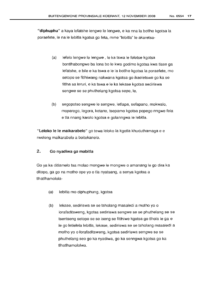"diphuphu" a kaya lefatshe lengwe Ie lengwe, e ka nna la botlhe kgotsa la poraefete, Ie na Ie lebitla kgotsa go feta, mme "Iebitla" Ie akaretsa-

- (a) lefelo lengwe Ie lengwe , Ie ka tswa Ie feletse kgotsa bontlhabongwe ba lona bo Ie kwa godimo kgotsa kwa tlase ga lefatshe, e bile e ka tswa e Ie la botlhe kgotsa la poraefete, mo setopo se fitlhiwang nakwana kgotsa go ikaeletswe go ka se fitlha sa leruri, e ka tswa e Ie ka lekase kgotsa sediriswa sengwe se se phuthelang kgotsa sepe, Ie,
- (b) segopotso sengwe Ie sengwe, letlapa, sefapano, mokwalo, moparego, legora, ketane, tsepamo kgotsa popego nngwe fela e tla nnang karolo kgotsa e golanngwa Ie lebitla.

"Leloko le **Ie** maikarabelo" go tewa leloko la kgotla khuduthamaga e e rweleng maikarabelo a boitekanelo.

# 2. Go nyadiwa ga mabitla

Go ya ka ditlamelo tsa molao mongwe le mongwe o amanang le go dira ka ditopo, ga go na motho ope yo 0 tla nyatsang, a senya kgotsa a tlhatlhamolola-

- (a) lebitla mo diphuphung, kgotsa
- (b) lekase, sediriswa se se tsholang masaledi a motho yo 0 lorafaditsweng, kgotsa sediriswa sengwe se se phuthelang se se tsentseng setopo se se iseng se fitlhiwe kgotsa go tlhola Ie ga e Ie go letlelela lebitla, lekase, sediriswa se se tsholang masaledi a motho yo 0 lorafaditsweng, kgotsa sediriswa sengwe se se phuthelang seo go ka nyadiwa, go ka senngwa kgotsa go ka tlhatlhamololwa.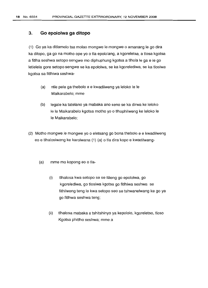#### **3. Go epololwa ga ditopo**

(1) Go ya ka ditlamelo tsa molao mongwe Ie mongwe 0 amanang Ie go dira ka ditopo, ga go na motho ope yo 0 tla epololang, a kgoreletsa, a tlosa kgotsa a fitlha seshwa setopo sengwe mo diphuphung kgotsa a tlhola Ie ga e Ie go letlelela gore setopo sengwe se ka epololwa, se ka kgorelediwa, se ka tlosiwa kgotsa sa fitlhiwa seshwa-

- (a) ntle pele ga thebolo e e kwadilweng ya leloko Ie Ie Maikarabelo; mme
- (b) legale ka tatelano ya mabaka ano seno se ka dirwa ke leloko Ie Ie Maikarabelo kgotsa motho yo 0 tlhophilweng ke leloko Ie Ie Maikarabelo;
- (2) Motho mongwe Ie mongwe yo 0 eletsang go bona thebolo e e kwadilweng eo e tlhalosiwang ke karolwana (1) (a) 0 tla dira kopo e kwadilweng-
	- (a) mme mo kopong eo o tla-
		- (i) tlhalosa kwa setopo se se tIiIeng go epololwa, go kgorelediwa, go tlosiwa kgotsa go fitlhiwa seshwa se fithilweng teng Ie kwa setopo seo se tshwanelwang ke go ya go fitlhwa seshwa teng;
		- (ii) tlhalosa mabaka a tshitshinyo ya kepololo, kgoreletso, tloso Kgotsa phitlho seshwa; mme a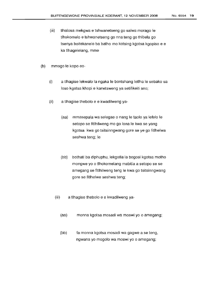- (iii) tlhalosa mekgwa e tshwanetseng go salwa morago Ie tlhokomelo e tshwanetseng go nna teng go thibela go tsenya boitekanelo ba bathe mo kotsing kgotsa kgopiso e e ka tlhagelelang, mme
- (b) mmogo Ie kopo eo-
	- (i) a tlhagise lekwalo la ngaka Ie bontshang letlha Ie sebako sa lose kgotsa khopi e kanetsweng ya setifikeiti seo;
	- (ii) a t1hagise thebolo e e kwadilweng ya-
		- (aa) mmasepala wa selegae 0 nang Ie taolo ya lefelo Ie setopo se fitlhilweng mo go Iona Ie kwa se yang kgotsa kwa go tsitsinngwang gore se ye go fitlhelwa seshwa teng; Ie
		- (bb) bothati ba diphuphu, lekgotla la bogosi kgotsa motho mongwe yo 0 tlhokomelang mabitla a setopo se se amegang se fitlhilweng teng Ie kwa go tsitsinngwang gore se fitlhelwe seshwa teng;
		- (iii) a tlhagise thebolo e e kwadilweng ya-
			- (aa) monna kgotsa mosadi wa moswi yo 0 ameqanq:
			- (bb) fa monna kgotsa mosadi wa gagwe a se teng, ngwana yo mogolo wa moswi yo 0 amegang;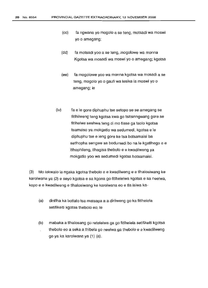- (cc) fa ngwana yo mogolo a se teng, motsadi wa moswi yo 0 amegang;
- (dd) fa motsadi yoo a se teng, mogolowe wa monna Kgotsa wa mosadi wa moswi yo 0 amegang; kgotsa
- (ee) fa mogolowe yoo wa monna kgotsa wa mosadi a se teng, mogolo yo 0 gaufi wa lesika la moswi yo 0 amegang; le
- (iv) fa e Ie gore diphuphu tse setopo se se amegang se fitlhilweng teng kgotsa kwa go tsitsinngwang gore se fitlhelwe seshwa teng di mo tlase ga taolo kgotsa tsamaiso ya mokgatlo wa sedumedi, kgotsa e Ie diphuphu tse e leng gore ke tsa botsamaisi ba setlhopha sengwe sa bodumedi bo na Ie kgatlhego e e itlhophileng, tlhagisa thebolo e e kwadilweng ya mokgatlo yoo wa sedumedi kgotsa botsamaisi.

(3) Mo lekwalo la ngaka kgotsa thebolo e e kwadilweng e e tlhalosiwang ke karolwana ya (2) e seyo kgotsa e sa kgona go fitlhelelwa kgotsa e sa neelwa, kopo e e kwadilweng e tlhalosiwang ke karolwana eo e tla isiwa ka-

- (a) dintlha ka bottalo tsa matsapa a a dirilweng go ka fitlhelela setifikeiti kgotsa thebolo eo; Ie
- (b) mabaka a tlhalosang go retelelwa ga go fitlhelela setifikeiti kgotsa thebolo eo a seka a thibela go neelwa ga thebolo e e kwadilweng go ya ka karolwana ya (1) (a).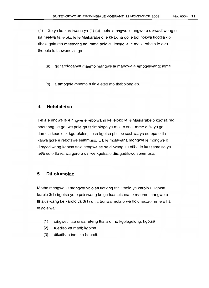(4) Go ya ka karolwana ya (1) (a) thebolo nngwe Ie nngwe e e kwadilweng e ka neelwa fa leloko Ie Ie Maikarabelo Ie ka bona go Ie botlhokwa kgotsa go tlhokagala mo maemong ao, mme pele ga leloko Ie Ie maikarabelo Ie dira thebolo Ie tshwanetse go-

- (a) go farologanya maemo mangwe Ie mangwe a amogelwang; mme
- (b) a amogele maemo a tlaleletso mo thebolong eo.

### 4. **Netefaletso**

Tetla e nngwe Ie e nngwe e rebolwang ke leloko Ie Ie Maikarabelo kgotsa mo boemong ba gagwe pele ga tshimologo ya molao ono, mme e ikaya go dumela kepololo, kgoreletso, tloso kgotsa phitlho seshwa ya setopo e tla kaiwa gore e rebotswe semmuso. E bile molawana mongwe le mongwe o diragadiwang kgotsa selo sengwe se se dirwang ka ntlha Ie ka tsamaiso ya tetla eo e tla kaiwa gore e dirilwe kgotsa e diragaditswe semmuso.

# 5. **Ditlolomolao**

Motho mongwe Ie mongwe yo 0 sa tlotleng tshiamelo ya karolo 2 kgotsa karolo 3(1) kgotsa yo 0 palelwang ke go tsamaisana Ie maemo mangwe a tlhalosiwang ke karolo ya 3(1) 0 tla bonwa molato wa tlolo molao mme 0 tla atlholelwa:

- (1) dikgwedi tse di sa feteng thataro mo kgolegelong; kgotsa
- (2) tuediso ya madi; kgotsa
- (3) dikotlhao tseo ka bobedi.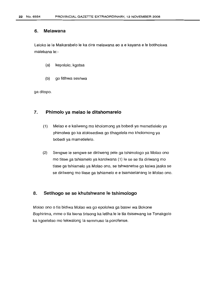#### 6. Melawana

Leloko Ie Ie Maikarabelo Ie ka dira melawana eo a e kayana e Ie botlhokwa malebana le:-

- (a) kepololo; kgotsa
- (b) go fitlhwa seshwa

ga ditopo.

### 7. Phimolo ya melao le ditshomarelo

- (1) Melao e e kailweng mo kholomong ya bobedi ya mametlelelo ya phimolwa go ka atolosediwa go tlhagelela mo kholomong ya bobedi ya mametlelelo.
- (2) Sengwe Ie sengwe se dirilweng pele ga tshimologo ya Molao one mo tlase ga tshiamelo ya karolwana (1) Ie se se tla diriwang mo tlase ga tshiamelo ya Molao ono, se tshwanetse go kaiwa jaaka se se dirilweng mo tlase ga tshiamelo e e tsamaelanang Ie Molao ono.

#### 8. Setihogo se se khutshwane Ie tshimologo

Molao one 0 tla bidiwa Molao wa go epololwa ga baswi wa Bokone Bophirima, mme 0 tla tsena tirisong ka letlha Ie Ie tla itsisewanq ke Tonakgolo ka kgoeletso mo lekwalong la semmuso la porofense.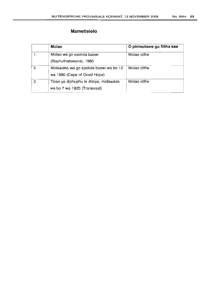|    | Molao                                 | O phimotswe go fitlha kae |
|----|---------------------------------------|---------------------------|
|    | Molao wa go epolola baswi             | Molao otlhe               |
|    | (Bophuthatswana), 1985                |                           |
| 2. | Molawana wa go epolola baswi wa bo 12 | Molao otlhe               |
|    | wa 1980 (Cape of Good Hope)           |                           |
| 3. | Tloso ya diphuphu le ditopo, molawana | Molao otlhe               |
|    | wa bo 7 wa 1925 (Transvaal)           |                           |
|    |                                       |                           |

I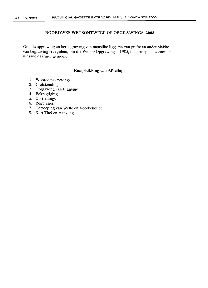#### **NOORDWES WETSONTWERP OP OPGRAWINGS, 2008**

Om die opgrawing en herbegrawing van menslike liggame van grafte en ander plekke van begrawing te reguleer; om die Wet op Opgrawings , 1985, te herroep en te voorsien vir sake daarmee gemoeid

#### **Rangskikking van Afdelings**

- 1. Woordomskrywings
- 2. Grafskending
- 3. Opgrawing van Liggame
- 4. Bekragtiging
- 5. Oortredings
- 6. Regulasies
- 7. Herroeping van Wette en Voorbehoude
- 8. Kart Titel en Aanvang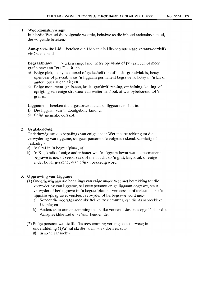#### 1. Woordomskrywings

In hierdie Wet sal die volgende woorde, behalwe as die inhoud andersins aandui, die volgende beteken:-

Aanspreeklike Lid beteken die Lid van die Uitvoerende Raad verantwoordelik vir Gesondheid

Begraafplaas beteken enige land, hetsy openbaar of privaat, een of meer grafte bevat en "graf" sluit in:-

- a) Enige plek, hetsy heeltemal of gedeeltelik bo of onder grondviak is, hetsy openbaar of privaat, waar 'n liggaam permanent begrawe is, hetsy in 'n kis of ander houer al dan nie; en
- b) Enige monument, grafsteen, kruis, grafskrif, reeling, omheining, ketting, of oprigting van enige struktuur van watter aard ook al wat bybehorend tot 'n graf is.

Liggaam beteken die afgestorwe menslike liggaam en sluit in:-

- a) Die liggaam van 'n doodgebore kind; en
- b) Enige menslike oorskot.

# 2. Grafskending

Onderhewig aan die bepalings van enige ander Wet met betrekking tot die verwydering van liggame, sal geen persoon die volgende skend, vernietig of beskadig:-

- a) 'n Graf in 'n begraafplaas; of
- b) 'n Kis, kruik of enige ander houer wat 'n liggaam bevat wat nie permanent begrawe is nie, of veroorsaak of toelaat dat so 'n graf, kis, kruik of enige ander houer geskend, vernietig of beskadig word.

#### 3. Opgrawing van Liggame

- (1) Onderhewig aan die bepalings van enige ander Wet met betrekking tot die verwydering van liggame, sal geen persoon enige liggaam opgrawe, steur, verwyder of herbegrawe in 'n begraafplaas of veroorsaak of toelaat dat so 'n liggaam opgegrawe, versteur, verwyder of herbegrawe word nie:
	- a) Sonder die voorafgaande skriftelike toestemming van die Aanspreeklike Lid nie; en
	- b) Anders as in ooreenstemming met sulke voorwaardes soos opgele deur die Aanspreeklike Lid of sy/haar benoemde.
- (2) Enige persoon wat skriftelike toestemming verlang soos oorweeg in onderafdeling (1)(a) sal skriftelik aansoek doen en sal:
	- a) In so 'n aansoek:-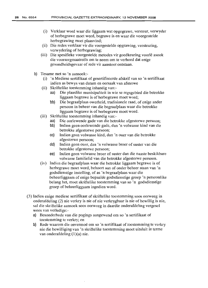- (i) Verklaar word waar die liggaam wat opgegrawe, versteur, verwyder of herbegrawe moet word, begrawe is en waar die voorgestelde herbegrawing moet plaasvind;
- (ii) Die redes verklaar vir die voorgestelde opgrawing, versteuring, verwydering of herbegrawing;
- (iii) Die spesifieke voorgestelde metodes vir goedkeuring voorle asook die voorsorgmaatreëls om te neem om te verhoed dat enige gesondheidsgevaar of rede vir aanstoot ontstaan.
- b) Tesame met so 'n aansoek.-
	- (i) 'n Mediese sertifikaat of gesertifiseerde afskrif van so 'n sertifikaat indien as bewys van datum en oorsaak van afsterwe
	- (ii) Skriftelike toestemming inhandig van:
		- aa) Die plaaslike munisipaliteit in wie se regsgebied die betrokke liggaam begrawe is of herbegrawe moet word;
		- bb) Die begraafplaas owerheid, tradisionele raad, of enige ander persoon in beheer van die begraafplaas waar die betrokke liggaam begrawe is of herbegrawe moet word.
	- (iii) Skriftelike toestemming inhandig van:
		- aa) Die oorlewende gade van die betrokke afgestorwe persoon;
		- bb) lndien geen oorlewende gade, dan 'n volwasse kind van die betrokke afgestorwe persoon;
		- cc) Indien geen volwasse kind, dan 'n ouer van die betrokke afgestorwe persoon;
		- dd) Indien geen ouer, dan 'n volwasse broer of suster van die betrokke afgestorwe persoon;
		- ee) Indien geen volwasse broer of suster dan die naaste beskikbare volwasse familielid van die betrokke afgestorwe persoon.
	- (iv) Indien die begraafplaas waar die betrokke liggaam begrawe is of herbegrawe moet word, behoort aan of onder beheer staan van 'n godsdienstige instelling, of as 'n begraafplaas waar die beheerliggaam of enige bepaalde godsdienstige groep 'n persoonlike belang het, moet skriftelike toestemming van so 'n godsdienstige groep of beheerliggaam ingedien word.
- (3) Indien enige mediese sertifikaat of skriftelike toestemming soos oorweeg in onderafdeling (2) nie verkry is nie of nie verkrygbaar is nie of bewillig is nie, sal die skriftelike aansoek soos oorweeg in daardie onderafdeling vergesel wees van volledige:
	- a) Besonderhede van die pogings aangewend om so 'n sertifikaat of toestemming te verkry; en
	- b) Rede waarom die onverrnoe om so 'n sertifikaat of toestemming te verkry nie die bewilliging van 'n skriftelike toestemming moet uitsluit in terme van onderafdeling  $(1)(a)$  nie.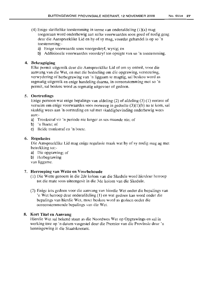- (4) Enige skriftelike toestemming in terme van onderafdeling  $(1)(a)$  mag toegestaan word onderhewig aan sulke voorwaardes soos goed of nodig geag deur die Aanspreeklike Lid en hy of sy mag, voordat gehandel is op so 'n toestemming:
	- a) Enige voorwaarde soos voorgeskryf, wysig; en
	- b) Addisionele voorwaardes voorskryf ten opsigte van so 'n toestemming.

### 4. Bekragtiging

Elke permit uitgereik deur die Aanspreeklike Lid of om sy ontwil, voor die aanvang van die Wet, en met die bedoeling om die opgrawing, versteuring, verwydering of herbegrawing van 'n liggaam te magtig, sal beskou word as regmatig uitgereik en enige handeling daarna, in ooreenstemming met so 'n permit, sal beskou word as regmatig uitgevoer of gedoen.

#### 5. Oortredings

Enige persoon wat enige bepalings van afdeling (2) of afdeling (3) (1) oortree of versuim om enige voorwaardes soos oorweeg in gedeelte (3)(1)(b) na te kom, sal skuldig wees aan 'n oortreding en sal met skuldigbevinding onderhewig wees aan:-

- a) Tronkstraf vir 'n periode nie langer as ses maande nie; of
- b) 'n Boete; of
- c) Beide tronkstraf en 'n boete.

#### 6. Regulasies

Die Aanspreeklike Lid mag enige regulasie maak wat hy of sy nodig mag ag met betrekking tot:-

- a) Die opgrawing; of
- b) Hcrbegrawing

van liggame.

#### 7. Herroeping van Wette en Voorbehoude

- (1) Die Wette genoem in die 2de kolom van die Skedule word hierdeur herroep tot die mate soos uiteengesit in die 3de kolom van die Skedule.
- (2) Enige iets gedoen voor die aanvang van hierdie Wet onder die bepalings van 'n Wet herroep deur onderafdeling (1) en wat gedoen kan word onder die bepalings van hierdie Wet, moet beskou word as gedoen onder die ooreenstemmende bepalings van die Wet.

# 8. Kort Titel en Aanvang

Hierdie Wet sal bekend staan as die Noordwes Wet op Opgrawings en sal in werking tree op 'n datum vasgestel deur die Premier van die Provinsie deur 'n kennisgewing in die Staatskoerant.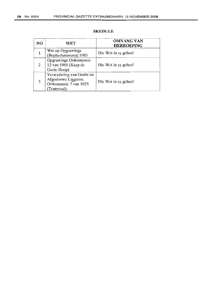| NO. | WET                                                                                       | <b>OMVANG VAN</b><br><b>HERROEPING</b> |
|-----|-------------------------------------------------------------------------------------------|----------------------------------------|
| 1   | Wet op Opgrawings<br>(Bophuthatswana) 1985                                                | Die Wet in sy geheel                   |
| 2   | Opgrawings Ordonnansie<br>12 van 1980 (Kaap de<br>Goeie Hoop)                             | Die Wet in sy geheel                   |
| 3   | Verwydering van Grafte en<br>Afgestorwe Liggame,<br>Ordonnansic 7 van 1925<br>(Transvaal) | Die Wet in sy geheel                   |

#### SKEDULE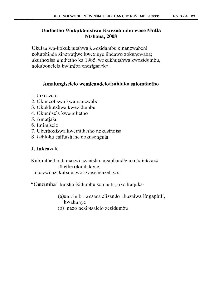# Umthetho Wokukhutshwa Kwezidumbu wase Mntla Ntshona, 2008

Ukulaulwa-kokukhutshwa kwezidumbu emancwabeni nokuphinda zincwatjwe kwezinye iindawo zokuncwaba; ukurhoxisa umthetho ka 1985, wokukhutshwa kwezidumbu, nokubonelela kwimiba eneziganeko.

# Amalungiselelo wemicandelo/isahluko salomthetho

- 1. Inkcazelo
- 2. Ukuncoliswa kwamancwabo
- 3. Ukukhutshwa kwezidumbu
- 4. Ukumisela kwemthetho
- 5. Amatjala
- 6. lmimiselo
- 7. Ukurhoxiswa kwemithetho nokusindisa
- 8. Isihloko esifutshane nokusongula

# 1. Inkcazelo

Kulomthetho, lamazwi azautsho, ngaphandle ukubainkcazo ithethe okuhlukene,

Iarnazwi azakuba nawo awasebenzelayo:-

"Umzimba" kutsho isidumbu somuntu, oko kuquka-

(a)urnzimba wesana elisando ukuzalwa lingaphili, kwakunye

(b) nazo nezintsalelo zesidumbu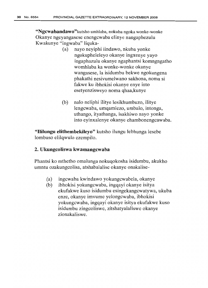**"Ngcwabandawo"kutsho** umhlaba, nokuba ngoka wonke-wonke Okanye ngeyangasese enengcwaba elinye nangaphezulu Kwakunye "ingwaba" liquka-

- (a) nayo neyiphi iindawo, nkuba yonke ngokupheleleyo okanye ingxenye yayo ingaphazulu okanye ngaphantsi komngngatho womhlaba ka wonke-wonke okanye wangasese, la isidumbu bekwe ngokungena phakathi nesivumelwano sakhona, noma si fakwe ku ibhokisi okanye enye into esetyenzisweyo noma qhaa,kunye
- (b) nalo neliphi ilitye lesikhumbuzo, ilitye lengcwaba, umqamlezo, umbalo, intonga, uthango, ityathanga, isakhiwo nayo yonke into eyinxalenye okanye ehambonengcawaba.

**"I1i1ungu elithembekileyo"** kutsho ilungu lebhunga lesebe lombuso elilqwulo ezempilo.

# 2. **Ukungcoliswa kwamangcwaba**

Phantsi ko mthetho omalunga nokuqokosha isidumbu, akukho umntu ozakungcolisa, atshabalalise okanye onakalise-

- (a) ingcwaba kwindawo yokungcwabela, okanye
- (b) ibhokisi yokungcwaba, ingqayi okanye isitya ekufakwe kuso isidumbu esingekangcwatywa, ukuba enze, okanye imvume yelongcwaba, ibhokisi yokungcwaba, ingqayi okanye isitya ekufakwe kuso isidumbu zingcoliswe, zitshatyalaliswe okanye zionakaliswe.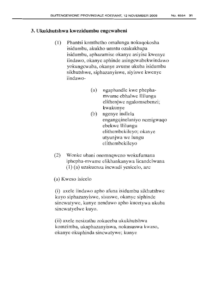# **3. Ukukhutshwa kwezidumbu engcwabeni**

- (1) Phantsi komthetho omalunga nokuqokosha isidumbu, akukho umntu ozakukhupa isidumbu, aphazamise okanye asiyise kwenye iindawo, okanye aphinde asingcwabekwindawo yokungcwaba, okanye avume ukuba isidumbu sikhutshwe, siphazanyiswe, siyiswe kwenye iindawo-
	- (a) ngaphandle kwe phephamvume ebhalwe Ililungu elithenjwe ngalomsebenzi; kwakunye
	- (b) ngenye indlela engangqinelaniyo nemigwaqo ebekwe Ililungu elithernbekileyo; okanye utyunjwa we lungu elithembekileyo
- (2) Wonke ubani onomnqweno wokufumana iphepha-mvume elikhankanywa licandelwana (1) (a) uzakuenza incwadi yesicelo, aze

(a) Kweso isicelo

(i) axele iindawo apho afuna isidumbu sikhutshwe kuyo siphazanyiswe, sisuswe, okanye siphinde sincwatywe, kunye nendawo apho kucetywa ukuba sincwatyelwe kuyo.

(ii) axele nesizathu zokuceba ukukhutshwa komzimba, ukuphazanyiswa, nokususwa kwaso, okanye okuphinda sincwatywe; kunye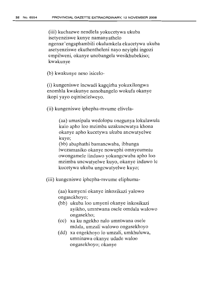(iii) kuchazwe nendlela yokucetywa ukuba isetyenziswe kunye namanyathelo ngenxe'engaphambili okulumkela ekucetywa ukuba asetyenziswe ekuthentheleni nayo neyiphi ingozi empilweni, okanye unobangela wesikhubekiso; kwakunye

(b) kwakunye neso isicelo-

(i) kungeniswe incwadi kagqirha yokuxilongwa enomhla kwakunye nonobangelo wokufa okanye ikopi yayo eqiniseIelweyo.

(ii) kungeniswe iphepha-rnvume elivela-

(aa) umasipala wedolopu onegunya lokulawula kulo apho 100 mzimba uzakuncwatya khona okanye apho kucetywa ukuba ancwatyelwe kuyo;

(bb) abaphathi bamancwaba, ibhunga Iwezamasiko okanye nowuphi omnyeumntu owongameIe iindawo yokungcwaba apho 100 mzimba uncwatyelwe kuyo, okanye indawo Ie kucetywa ukuba ungcwatyelwe kuyo;

(iii) kungeniswe iphepha-mvume eliphuma-

(aa) kumyeni okanye inkozikazi yalowo ongasekhoyo;

- (bb) ukuba 100 umyeni okanye inkosikazi ayikho, umntwana osele omdala walowo ongasekho;
- (cc) xa ku ngekho nalo umntwana osele mdala, umzali walowo ongasekhoyo
- (dd) xa engekhoyo 10 umzali, umkhuluwa, umninawa okanye udade waloo ongasekhoyo;okanye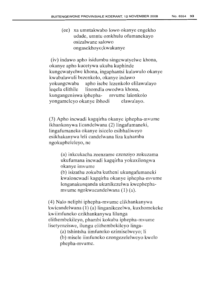(ee) xa umntakwabo Iowo okanye engekho udade, umntu omkhulu ofumanekayo osizalwane salowo ongasekhoyo;kwakunye

(iv) indawo apho isidumbu singcwatyelwe khona, okanye apho kucetywa ukuba kuphinde kungcwatyelwe khona, ingaphantsi kulawulo okanye kwabalawuli bezenkolo, okanye indawo yokungcwaba apho isebe lezenkolo elilawulayo leqela elithile linomdla owodwa khona, kungangeniswa iphepha- mvume lalonkolo yongameleyo okanye ibhodi elawuIayo.

(3) Apho incwadi kagqirha okanye iphepha-mvume ikhankonywa licandelwana (2) lingafumaneki, lingafumaneka okanye isicelo esibhaliweyo esikhakanywa leli candelwana Iiza kuhamba ngokupheleleyo, ne

> (a) inkcukacha zeenzame ezenziyo zokuzama ukufumana incwadi kagqirha yokuxilongwa okanye imvume

(b) isizathu zokuba kutheni ukungafumaneki kwaloncwadi kagqirha okanye iphepha-mvume lenganakunqanda ukunikezelwa kwephephamvume ngokwacandelwana (1) (a).

(4) Nalo neliphi iphepha-rnvume elikhankanywa kwicandelwana (1) (a) linganikezelwa, kuxhomekeke kwiimfuneko ezikhankanywa lilunga eIithembekiIeyo, phambi kokuba iphepha-rnvume Iisetyenziswe, ilungu eIithembekiIeyo linga-

(a) tshintsha iimfuncko ezimiselweyo; Ii

(b) misele iimfuneko ezongezelelweyo kwelo phepha-mvume.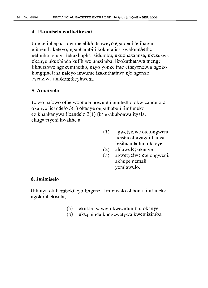# **4. Ukumisela** ernthethweni

Lonke iphepha-mvume elikhutshweyo egameni lelilungu elithembakeleyo, ngaphambili kokuqalisa kwalomthetho, nelinika igunya lekukhupha isidumbu, ukuphazamisa, ukususwa okanye ukuphinda kufihlwe umzimba, lizokuthathwa njenge likhutshwe ngokumthetho, nayo yonke into etheyenziwa ngoko kungqinelana naleyo imvume izakuthathwa nje ngenxo eyenziwe ngokomtheyhweni.

# **5. Amatyala**

Lowo nalowo othe wophula nowuphi umthetho okwicandelo 2 okanye licandelo 3(1) okanye ongathobeli iimfuneko ezikhankanywa licandelo 3(1) (b) uzakubonwa ityala, ekugwetyeni kwakhe a:

- (1) agwetyelwe etelongweni ixesha elingagqithanga lezithandathu; okanye
- (2) ahlawule; okanye
- (3) agwetyelwe etelongweni, akhupe nemali yentlawulo.

# 6. Imimiselo

Ililungu elithembekileyo lingenza Imimiselo elibona iimfuneko ngokubhekisela;-

- (a) ekukhutshweni kwezidumbu; okanye
- (b) ukuphinda kungcwatywa kwemizimba